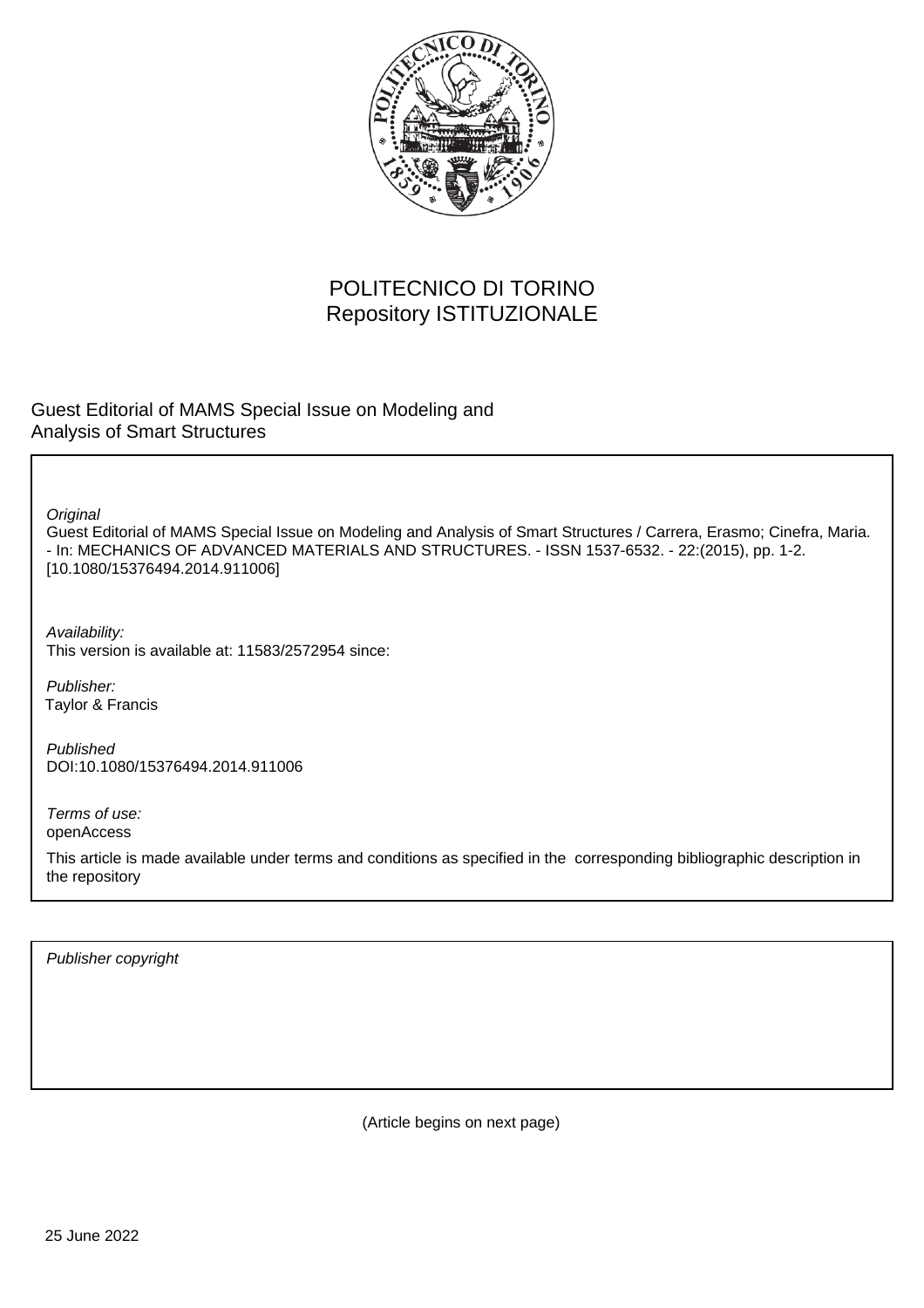

## POLITECNICO DI TORINO Repository ISTITUZIONALE

Guest Editorial of MAMS Special Issue on Modeling and Analysis of Smart Structures

**Original** 

Guest Editorial of MAMS Special Issue on Modeling and Analysis of Smart Structures / Carrera, Erasmo; Cinefra, Maria. - In: MECHANICS OF ADVANCED MATERIALS AND STRUCTURES. - ISSN 1537-6532. - 22:(2015), pp. 1-2. [10.1080/15376494.2014.911006]

Availability: This version is available at: 11583/2572954 since:

Publisher: Taylor & Francis

Published DOI:10.1080/15376494.2014.911006

Terms of use: openAccess

This article is made available under terms and conditions as specified in the corresponding bibliographic description in the repository

Publisher copyright

(Article begins on next page)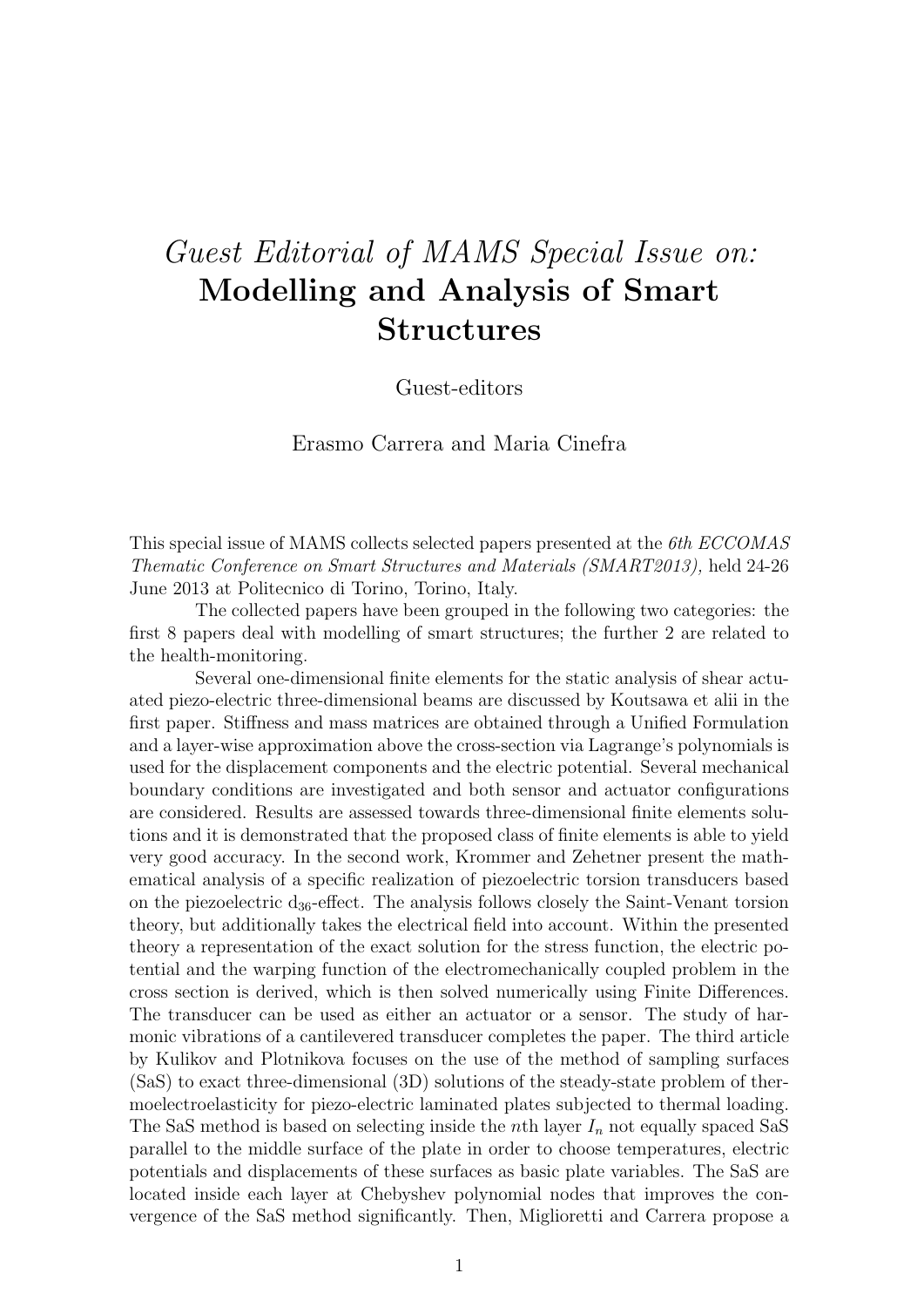## Guest Editorial of MAMS Special Issue on: Modelling and Analysis of Smart Structures

Guest-editors

Erasmo Carrera and Maria Cinefra

This special issue of MAMS collects selected papers presented at the 6th ECCOMAS Thematic Conference on Smart Structures and Materials (SMART2013), held 24-26 June 2013 at Politecnico di Torino, Torino, Italy.

The collected papers have been grouped in the following two categories: the first 8 papers deal with modelling of smart structures; the further 2 are related to the health-monitoring.

Several one-dimensional finite elements for the static analysis of shear actuated piezo-electric three-dimensional beams are discussed by Koutsawa et alii in the first paper. Stiffness and mass matrices are obtained through a Unified Formulation and a layer-wise approximation above the cross-section via Lagrange's polynomials is used for the displacement components and the electric potential. Several mechanical boundary conditions are investigated and both sensor and actuator configurations are considered. Results are assessed towards three-dimensional finite elements solutions and it is demonstrated that the proposed class of finite elements is able to yield very good accuracy. In the second work, Krommer and Zehetner present the mathematical analysis of a specific realization of piezoelectric torsion transducers based on the piezoelectric  $d_{36}$ -effect. The analysis follows closely the Saint-Venant torsion theory, but additionally takes the electrical field into account. Within the presented theory a representation of the exact solution for the stress function, the electric potential and the warping function of the electromechanically coupled problem in the cross section is derived, which is then solved numerically using Finite Differences. The transducer can be used as either an actuator or a sensor. The study of harmonic vibrations of a cantilevered transducer completes the paper. The third article by Kulikov and Plotnikova focuses on the use of the method of sampling surfaces (SaS) to exact three-dimensional (3D) solutions of the steady-state problem of thermoelectroelasticity for piezo-electric laminated plates subjected to thermal loading. The SaS method is based on selecting inside the *n*th layer  $I_n$  not equally spaced SaS parallel to the middle surface of the plate in order to choose temperatures, electric potentials and displacements of these surfaces as basic plate variables. The SaS are located inside each layer at Chebyshev polynomial nodes that improves the convergence of the SaS method significantly. Then, Miglioretti and Carrera propose a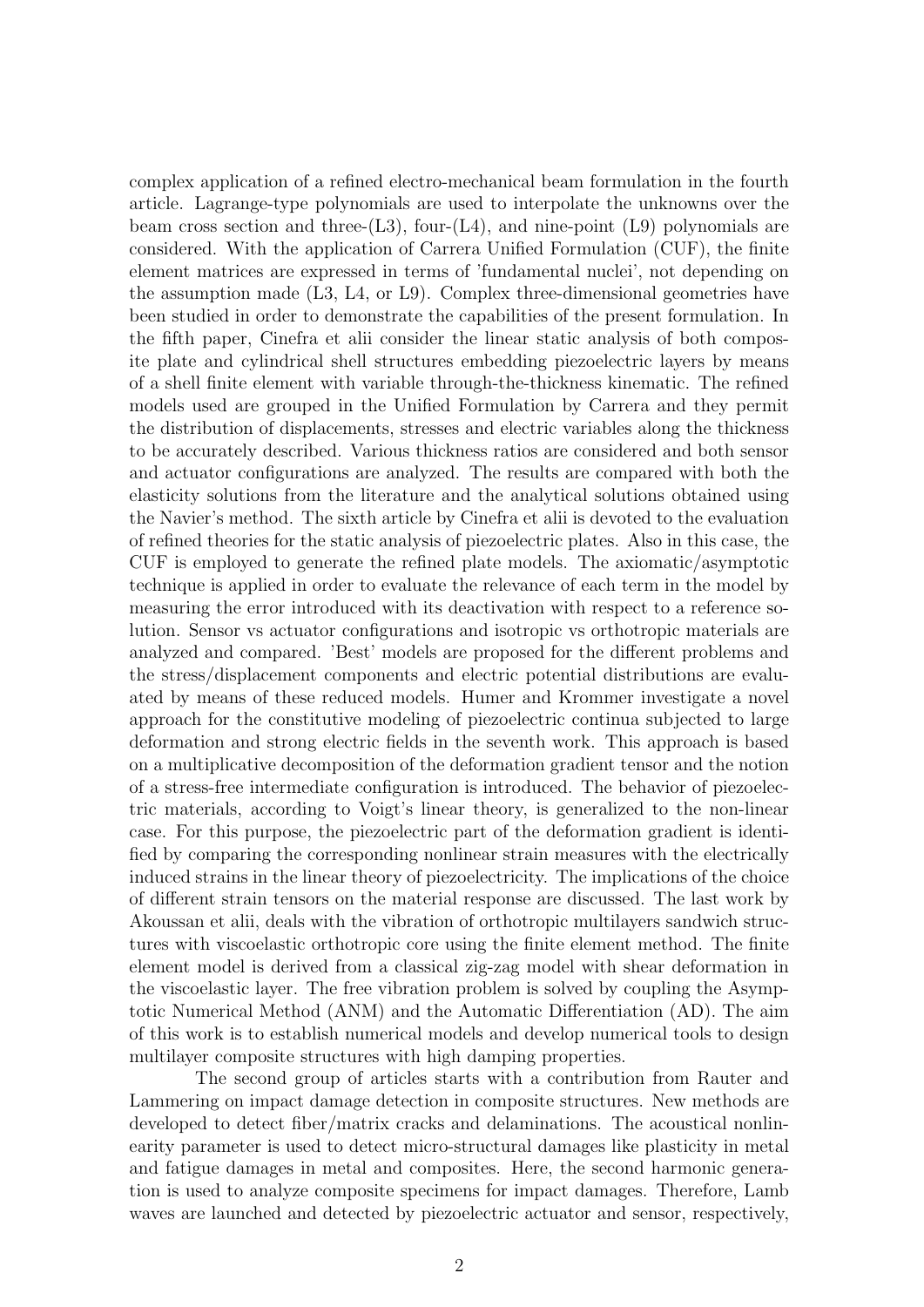complex application of a refined electro-mechanical beam formulation in the fourth article. Lagrange-type polynomials are used to interpolate the unknowns over the beam cross section and three- $(L3)$ , four- $(L4)$ , and nine-point  $(L9)$  polynomials are considered. With the application of Carrera Unified Formulation (CUF), the finite element matrices are expressed in terms of 'fundamental nuclei', not depending on the assumption made (L3, L4, or L9). Complex three-dimensional geometries have been studied in order to demonstrate the capabilities of the present formulation. In the fifth paper, Cinefra et alii consider the linear static analysis of both composite plate and cylindrical shell structures embedding piezoelectric layers by means of a shell finite element with variable through-the-thickness kinematic. The refined models used are grouped in the Unified Formulation by Carrera and they permit the distribution of displacements, stresses and electric variables along the thickness to be accurately described. Various thickness ratios are considered and both sensor and actuator configurations are analyzed. The results are compared with both the elasticity solutions from the literature and the analytical solutions obtained using the Navier's method. The sixth article by Cinefra et alii is devoted to the evaluation of refined theories for the static analysis of piezoelectric plates. Also in this case, the CUF is employed to generate the refined plate models. The axiomatic/asymptotic technique is applied in order to evaluate the relevance of each term in the model by measuring the error introduced with its deactivation with respect to a reference solution. Sensor vs actuator configurations and isotropic vs orthotropic materials are analyzed and compared. 'Best' models are proposed for the different problems and the stress/displacement components and electric potential distributions are evaluated by means of these reduced models. Humer and Krommer investigate a novel approach for the constitutive modeling of piezoelectric continua subjected to large deformation and strong electric fields in the seventh work. This approach is based on a multiplicative decomposition of the deformation gradient tensor and the notion of a stress-free intermediate configuration is introduced. The behavior of piezoelectric materials, according to Voigt's linear theory, is generalized to the non-linear case. For this purpose, the piezoelectric part of the deformation gradient is identified by comparing the corresponding nonlinear strain measures with the electrically induced strains in the linear theory of piezoelectricity. The implications of the choice of different strain tensors on the material response are discussed. The last work by Akoussan et alii, deals with the vibration of orthotropic multilayers sandwich structures with viscoelastic orthotropic core using the finite element method. The finite element model is derived from a classical zig-zag model with shear deformation in the viscoelastic layer. The free vibration problem is solved by coupling the Asymptotic Numerical Method (ANM) and the Automatic Differentiation (AD). The aim of this work is to establish numerical models and develop numerical tools to design multilayer composite structures with high damping properties.

The second group of articles starts with a contribution from Rauter and Lammering on impact damage detection in composite structures. New methods are developed to detect fiber/matrix cracks and delaminations. The acoustical nonlinearity parameter is used to detect micro-structural damages like plasticity in metal and fatigue damages in metal and composites. Here, the second harmonic generation is used to analyze composite specimens for impact damages. Therefore, Lamb waves are launched and detected by piezoelectric actuator and sensor, respectively,